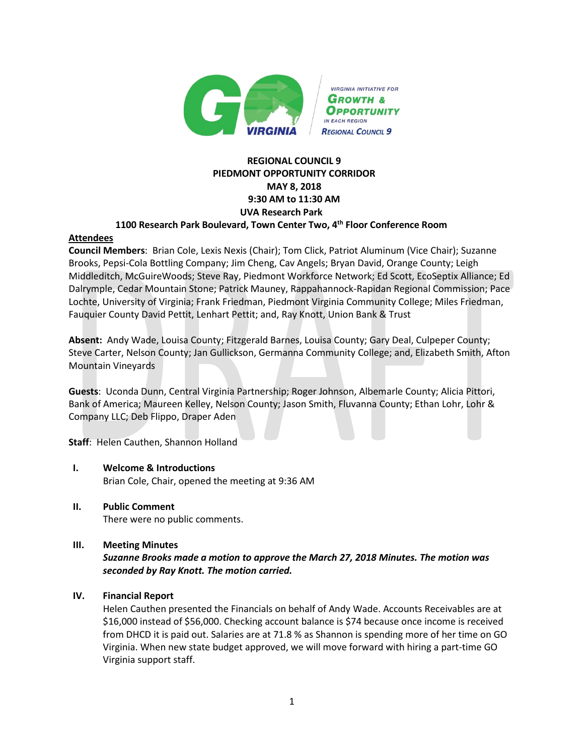

# **REGIONAL COUNCIL 9 PIEDMONT OPPORTUNITY CORRIDOR MAY 8, 2018 9:30 AM to 11:30 AM UVA Research Park**

### **1100 Research Park Boulevard, Town Center Two, 4th Floor Conference Room**

### **Attendees**

**Council Members**: Brian Cole, Lexis Nexis (Chair); Tom Click, Patriot Aluminum (Vice Chair); Suzanne Brooks, Pepsi-Cola Bottling Company; Jim Cheng, Cav Angels; Bryan David, Orange County; Leigh Middleditch, McGuireWoods; Steve Ray, Piedmont Workforce Network; Ed Scott, EcoSeptix Alliance; Ed Dalrymple, Cedar Mountain Stone; Patrick Mauney, Rappahannock-Rapidan Regional Commission; Pace Lochte, University of Virginia; Frank Friedman, Piedmont Virginia Community College; Miles Friedman, Fauquier County David Pettit, Lenhart Pettit; and, Ray Knott, Union Bank & Trust

**Absent:** Andy Wade, Louisa County; Fitzgerald Barnes, Louisa County; Gary Deal, Culpeper County; Steve Carter, Nelson County; Jan Gullickson, Germanna Community College; and, Elizabeth Smith, Afton Mountain Vineyards

**Guests**: Uconda Dunn, Central Virginia Partnership; Roger Johnson, Albemarle County; Alicia Pittori, Bank of America; Maureen Kelley, Nelson County; Jason Smith, Fluvanna County; Ethan Lohr, Lohr & Company LLC; Deb Flippo, Draper Aden

**Staff**: Helen Cauthen, Shannon Holland

- **I. Welcome & Introductions**  Brian Cole, Chair, opened the meeting at 9:36 AM
- **II. Public Comment**

There were no public comments.

## **III. Meeting Minutes**

*Suzanne Brooks made a motion to approve the March 27, 2018 Minutes. The motion was seconded by Ray Knott. The motion carried.*

## **IV. Financial Report**

Helen Cauthen presented the Financials on behalf of Andy Wade. Accounts Receivables are at \$16,000 instead of \$56,000. Checking account balance is \$74 because once income is received from DHCD it is paid out. Salaries are at 71.8 % as Shannon is spending more of her time on GO Virginia. When new state budget approved, we will move forward with hiring a part-time GO Virginia support staff.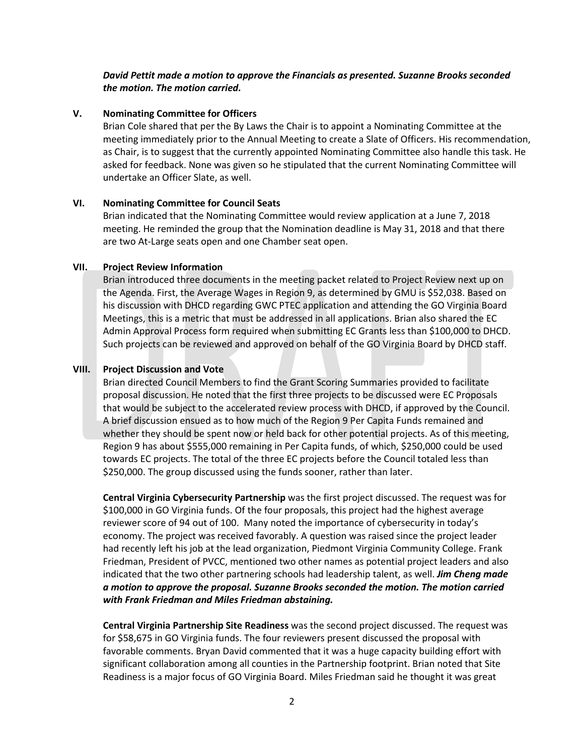### *David Pettit made a motion to approve the Financials as presented. Suzanne Brooks seconded the motion. The motion carried.*

#### **V. Nominating Committee for Officers**

Brian Cole shared that per the By Laws the Chair is to appoint a Nominating Committee at the meeting immediately prior to the Annual Meeting to create a Slate of Officers. His recommendation, as Chair, is to suggest that the currently appointed Nominating Committee also handle this task. He asked for feedback. None was given so he stipulated that the current Nominating Committee will undertake an Officer Slate, as well.

#### **VI. Nominating Committee for Council Seats**

Brian indicated that the Nominating Committee would review application at a June 7, 2018 meeting. He reminded the group that the Nomination deadline is May 31, 2018 and that there are two At-Large seats open and one Chamber seat open.

#### **VII. Project Review Information**

Brian introduced three documents in the meeting packet related to Project Review next up on the Agenda. First, the Average Wages in Region 9, as determined by GMU is \$52,038. Based on his discussion with DHCD regarding GWC PTEC application and attending the GO Virginia Board Meetings, this is a metric that must be addressed in all applications. Brian also shared the EC Admin Approval Process form required when submitting EC Grants less than \$100,000 to DHCD. Such projects can be reviewed and approved on behalf of the GO Virginia Board by DHCD staff.

#### **VIII. Project Discussion and Vote**

Brian directed Council Members to find the Grant Scoring Summaries provided to facilitate proposal discussion. He noted that the first three projects to be discussed were EC Proposals that would be subject to the accelerated review process with DHCD, if approved by the Council. A brief discussion ensued as to how much of the Region 9 Per Capita Funds remained and whether they should be spent now or held back for other potential projects. As of this meeting, Region 9 has about \$555,000 remaining in Per Capita funds, of which, \$250,000 could be used towards EC projects. The total of the three EC projects before the Council totaled less than \$250,000. The group discussed using the funds sooner, rather than later.

**Central Virginia Cybersecurity Partnership** was the first project discussed. The request was for \$100,000 in GO Virginia funds. Of the four proposals, this project had the highest average reviewer score of 94 out of 100. Many noted the importance of cybersecurity in today's economy. The project was received favorably. A question was raised since the project leader had recently left his job at the lead organization, Piedmont Virginia Community College. Frank Friedman, President of PVCC, mentioned two other names as potential project leaders and also indicated that the two other partnering schools had leadership talent, as well. *Jim Cheng made a motion to approve the proposal. Suzanne Brooks seconded the motion. The motion carried with Frank Friedman and Miles Friedman abstaining.*

**Central Virginia Partnership Site Readiness** was the second project discussed. The request was for \$58,675 in GO Virginia funds. The four reviewers present discussed the proposal with favorable comments. Bryan David commented that it was a huge capacity building effort with significant collaboration among all counties in the Partnership footprint. Brian noted that Site Readiness is a major focus of GO Virginia Board. Miles Friedman said he thought it was great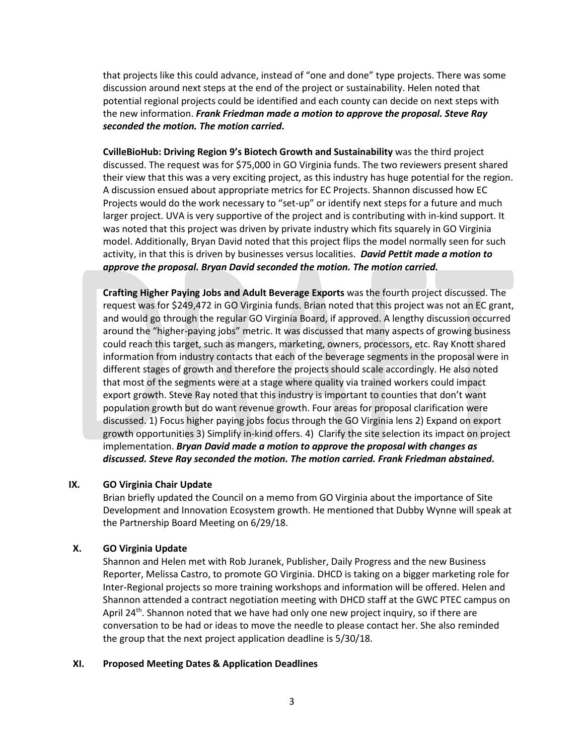that projects like this could advance, instead of "one and done" type projects. There was some discussion around next steps at the end of the project or sustainability. Helen noted that potential regional projects could be identified and each county can decide on next steps with the new information. *Frank Friedman made a motion to approve the proposal. Steve Ray seconded the motion. The motion carried.*

**CvilleBioHub: Driving Region 9's Biotech Growth and Sustainability** was the third project discussed. The request was for \$75,000 in GO Virginia funds. The two reviewers present shared their view that this was a very exciting project, as this industry has huge potential for the region. A discussion ensued about appropriate metrics for EC Projects. Shannon discussed how EC Projects would do the work necessary to "set-up" or identify next steps for a future and much larger project. UVA is very supportive of the project and is contributing with in-kind support. It was noted that this project was driven by private industry which fits squarely in GO Virginia model. Additionally, Bryan David noted that this project flips the model normally seen for such activity, in that this is driven by businesses versus localities. *David Pettit made a motion to approve the proposal. Bryan David seconded the motion. The motion carried.*

**Crafting Higher Paying Jobs and Adult Beverage Exports** was the fourth project discussed. The request was for \$249,472 in GO Virginia funds. Brian noted that this project was not an EC grant, and would go through the regular GO Virginia Board, if approved. A lengthy discussion occurred around the "higher-paying jobs" metric. It was discussed that many aspects of growing business could reach this target, such as mangers, marketing, owners, processors, etc. Ray Knott shared information from industry contacts that each of the beverage segments in the proposal were in different stages of growth and therefore the projects should scale accordingly. He also noted that most of the segments were at a stage where quality via trained workers could impact export growth. Steve Ray noted that this industry is important to counties that don't want population growth but do want revenue growth. Four areas for proposal clarification were discussed. 1) Focus higher paying jobs focus through the GO Virginia lens 2) Expand on export growth opportunities 3) Simplify in-kind offers. 4) Clarify the site selection its impact on project implementation. *Bryan David made a motion to approve the proposal with changes as discussed. Steve Ray seconded the motion. The motion carried. Frank Friedman abstained.* 

### **IX. GO Virginia Chair Update**

Brian briefly updated the Council on a memo from GO Virginia about the importance of Site Development and Innovation Ecosystem growth. He mentioned that Dubby Wynne will speak at the Partnership Board Meeting on 6/29/18.

### **X. GO Virginia Update**

Shannon and Helen met with Rob Juranek, Publisher, Daily Progress and the new Business Reporter, Melissa Castro, to promote GO Virginia. DHCD is taking on a bigger marketing role for Inter-Regional projects so more training workshops and information will be offered. Helen and Shannon attended a contract negotiation meeting with DHCD staff at the GWC PTEC campus on April 24<sup>th</sup>. Shannon noted that we have had only one new project inquiry, so if there are conversation to be had or ideas to move the needle to please contact her. She also reminded the group that the next project application deadline is 5/30/18.

#### **XI. Proposed Meeting Dates & Application Deadlines**